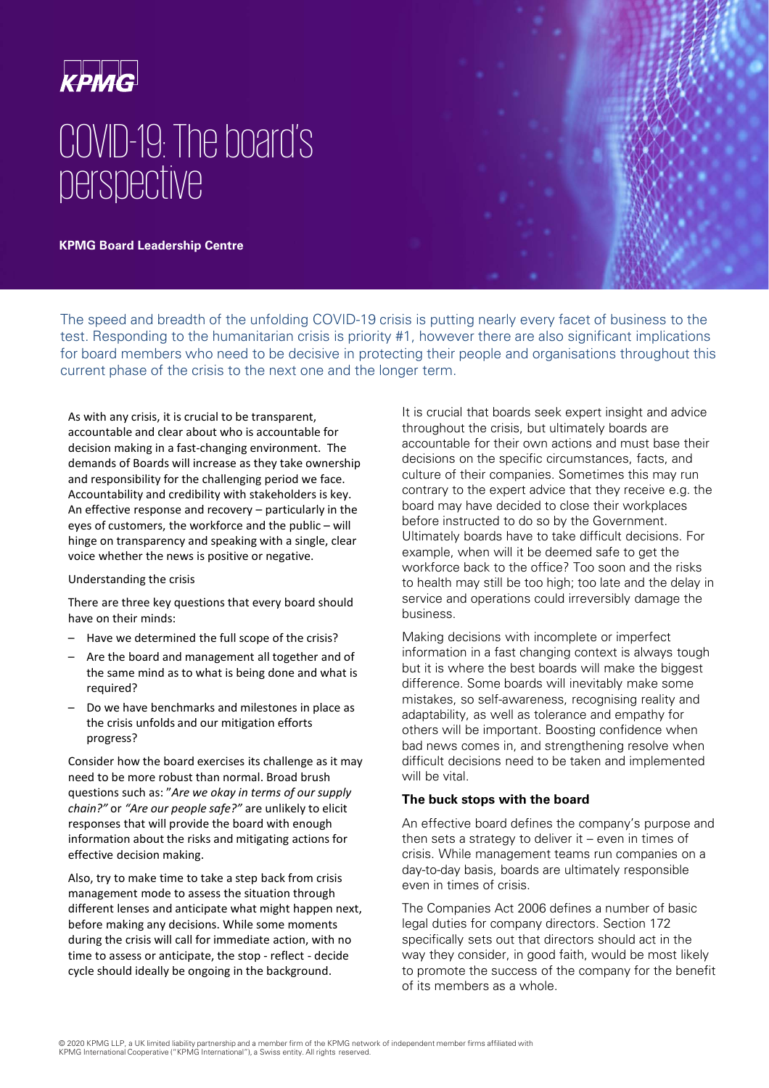

# COVID-19: The board's perspective

**KPMG Board Leadership Centre** 

The speed and breadth of the unfolding COVID-19 crisis is putting nearly every facet of business to the test. Responding to the humanitarian crisis is priority #1, however there are also significant implications for board members who need to be decisive in protecting their people and organisations throughout this current phase of the crisis to the next one and the longer term.

As with any crisis, it is crucial to be transparent, accountable and clear about who is accountable for decision making in a fast-changing environment. The demands of Boards will increase as they take ownership and responsibility for the challenging period we face. Accountability and credibility with stakeholders is key. An effective response and recovery – particularly in the eyes of customers, the workforce and the public – will hinge on transparency and speaking with a single, clear voice whether the news is positive or negative.

#### Understanding the crisis

There are three key questions that every board should have on their minds:

- Have we determined the full scope of the crisis?
- Are the board and management all together and of the same mind as to what is being done and what is required?
- Do we have benchmarks and milestones in place as the crisis unfolds and our mitigation efforts progress?

Consider how the board exercises its challenge as it may need to be more robust than normal. Broad brush questions such as: "*Are we okay in terms of our supply chain?"* or *"Are our people safe?"* are unlikely to elicit responses that will provide the board with enough information about the risks and mitigating actions for effective decision making.

Also, try to make time to take a step back from crisis management mode to assess the situation through different lenses and anticipate what might happen next, before making any decisions. While some moments during the crisis will call for immediate action, with no time to assess or anticipate, the stop - reflect - decide cycle should ideally be ongoing in the background.

It is crucial that boards seek expert insight and advice throughout the crisis, but ultimately boards are accountable for their own actions and must base their decisions on the specific circumstances, facts, and culture of their companies. Sometimes this may run contrary to the expert advice that they receive e.g. the board may have decided to close their workplaces before instructed to do so by the Government. Ultimately boards have to take difficult decisions. For example, when will it be deemed safe to get the workforce back to the office? Too soon and the risks to health may still be too high; too late and the delay in service and operations could irreversibly damage the business.

Making decisions with incomplete or imperfect information in a fast changing context is always tough but it is where the best boards will make the biggest difference. Some boards will inevitably make some mistakes, so self-awareness, recognising reality and adaptability, as well as tolerance and empathy for others will be important. Boosting confidence when bad news comes in, and strengthening resolve when difficult decisions need to be taken and implemented will be vital.

### **The buck stops with the board**

An effective board defines the company's purpose and then sets a strategy to deliver it – even in times of crisis. While management teams run companies on a day-to-day basis, boards are ultimately responsible even in times of crisis.

The Companies Act 2006 defines a number of basic legal duties for company directors. Section 172 specifically sets out that directors should act in the way they consider, in good faith, would be most likely to promote the success of the company for the benefit of its members as a whole.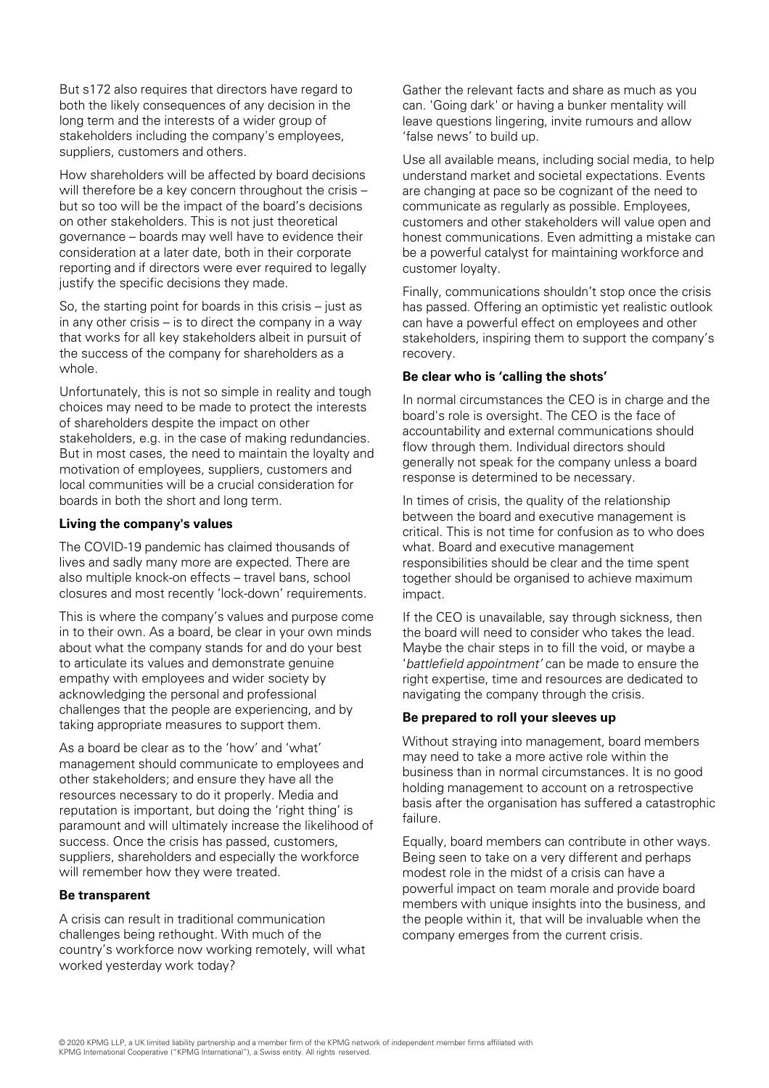But s172 also requires that directors have regard to both the likely consequences of any decision in the long term and the interests of a wider group of stakeholders including the company's employees, suppliers, customers and others.

How shareholders will be affected by board decisions will therefore be a key concern throughout the crisis – but so too will be the impact of the board's decisions on other stakeholders. This is not just theoretical governance – boards may well have to evidence their consideration at a later date, both in their corporate reporting and if directors were ever required to legally justify the specific decisions they made.

So, the starting point for boards in this crisis – just as in any other crisis – is to direct the company in a way that works for all key stakeholders albeit in pursuit of the success of the company for shareholders as a whole.

Unfortunately, this is not so simple in reality and tough choices may need to be made to protect the interests of shareholders despite the impact on other stakeholders, e.g. in the case of making redundancies. But in most cases, the need to maintain the loyalty and motivation of employees, suppliers, customers and local communities will be a crucial consideration for boards in both the short and long term.

## **Living the company's values**

The COVID-19 pandemic has claimed thousands of lives and sadly many more are expected. There are also multiple knock-on effects – travel bans, school closures and most recently 'lock-down' requirements.

This is where the company's values and purpose come in to their own. As a board, be clear in your own minds about what the company stands for and do your best to articulate its values and demonstrate genuine empathy with employees and wider society by acknowledging the personal and professional challenges that the people are experiencing, and by taking appropriate measures to support them.

As a board be clear as to the 'how' and 'what' management should communicate to employees and other stakeholders; and ensure they have all the resources necessary to do it properly. Media and reputation is important, but doing the 'right thing' is paramount and will ultimately increase the likelihood of success. Once the crisis has passed, customers, suppliers, shareholders and especially the workforce will remember how they were treated.

## **Be transparent**

A crisis can result in traditional communication challenges being rethought. With much of the country's workforce now working remotely, will what worked yesterday work today?

Gather the relevant facts and share as much as you can. 'Going dark' or having a bunker mentality will leave questions lingering, invite rumours and allow 'false news' to build up.

Use all available means, including social media, to help understand market and societal expectations. Events are changing at pace so be cognizant of the need to communicate as regularly as possible. Employees, customers and other stakeholders will value open and honest communications. Even admitting a mistake can be a powerful catalyst for maintaining workforce and customer loyalty.

Finally, communications shouldn't stop once the crisis has passed. Offering an optimistic yet realistic outlook can have a powerful effect on employees and other stakeholders, inspiring them to support the company's recovery.

### **Be clear who is 'calling the shots'**

In normal circumstances the CEO is in charge and the board's role is oversight. The CEO is the face of accountability and external communications should flow through them. Individual directors should generally not speak for the company unless a board response is determined to be necessary.

In times of crisis, the quality of the relationship between the board and executive management is critical. This is not time for confusion as to who does what. Board and executive management responsibilities should be clear and the time spent together should be organised to achieve maximum impact.

If the CEO is unavailable, say through sickness, then the board will need to consider who takes the lead. Maybe the chair steps in to fill the void, or maybe a 'battlefield appointment' can be made to ensure the right expertise, time and resources are dedicated to navigating the company through the crisis.

## **Be prepared to roll your sleeves up**

Without straying into management, board members may need to take a more active role within the business than in normal circumstances. It is no good holding management to account on a retrospective basis after the organisation has suffered a catastrophic failure.

Equally, board members can contribute in other ways. Being seen to take on a very different and perhaps modest role in the midst of a crisis can have a powerful impact on team morale and provide board members with unique insights into the business, and the people within it, that will be invaluable when the company emerges from the current crisis.